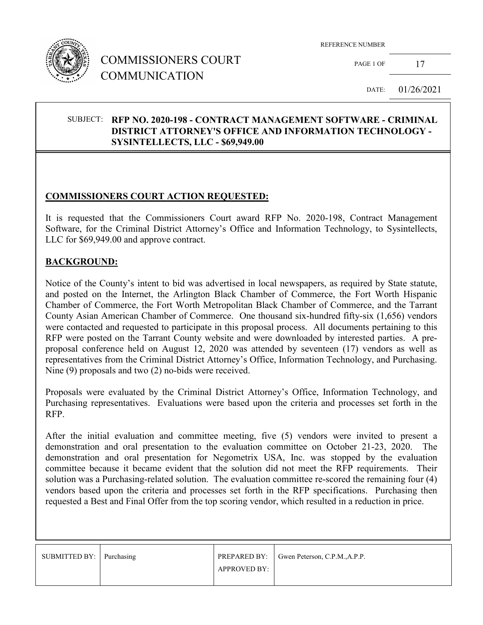

# COMMISSIONERS COURT COMMUNICATION

REFERENCE NUMBER

PAGE 1 OF  $17$ 

DATE: 01/26/2021

## SUBJECT: **RFP NO. 2020-198 - CONTRACT MANAGEMENT SOFTWARE - CRIMINAL DISTRICT ATTORNEY'S OFFICE AND INFORMATION TECHNOLOGY - SYSINTELLECTS, LLC - \$69,949.00**

## **COMMISSIONERS COURT ACTION REQUESTED:**

It is requested that the Commissioners Court award RFP No. 2020-198, Contract Management Software, for the Criminal District Attorney's Office and Information Technology, to Sysintellects, LLC for \$69,949.00 and approve contract.

## **BACKGROUND:**

Notice of the County's intent to bid was advertised in local newspapers, as required by State statute, and posted on the Internet, the Arlington Black Chamber of Commerce, the Fort Worth Hispanic Chamber of Commerce, the Fort Worth Metropolitan Black Chamber of Commerce, and the Tarrant County Asian American Chamber of Commerce. One thousand six-hundred fifty-six (1,656) vendors were contacted and requested to participate in this proposal process. All documents pertaining to this RFP were posted on the Tarrant County website and were downloaded by interested parties. A preproposal conference held on August 12, 2020 was attended by seventeen (17) vendors as well as representatives from the Criminal District Attorney's Office, Information Technology, and Purchasing. Nine (9) proposals and two (2) no-bids were received.

Proposals were evaluated by the Criminal District Attorney's Office, Information Technology, and Purchasing representatives. Evaluations were based upon the criteria and processes set forth in the RFP.

After the initial evaluation and committee meeting, five (5) vendors were invited to present a demonstration and oral presentation to the evaluation committee on October 21-23, 2020. The demonstration and oral presentation for Negometrix USA, Inc. was stopped by the evaluation committee because it became evident that the solution did not meet the RFP requirements. Their solution was a Purchasing-related solution. The evaluation committee re-scored the remaining four (4) vendors based upon the criteria and processes set forth in the RFP specifications. Purchasing then requested a Best and Final Offer from the top scoring vendor, which resulted in a reduction in price.

| SUBMITTED BY: Purchasing |                     | PREPARED BY:   Gwen Peterson, C.P.M., A.P.P. |
|--------------------------|---------------------|----------------------------------------------|
|                          | <b>APPROVED BY:</b> |                                              |